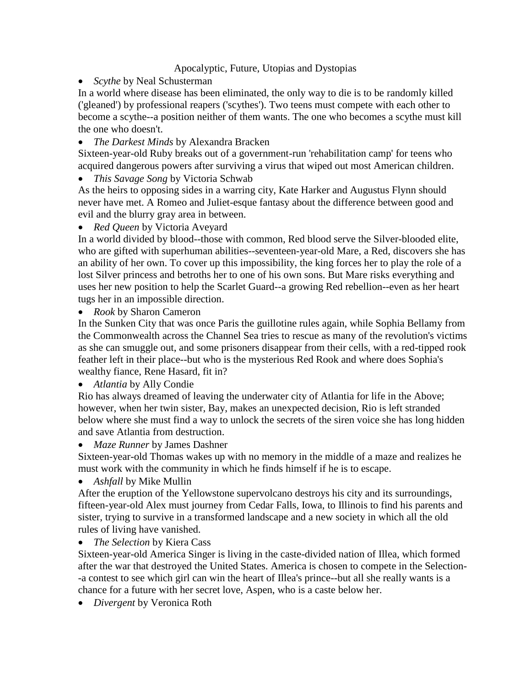### Apocalyptic, Future, Utopias and Dystopias

*Scythe* by Neal Schusterman

In a world where disease has been eliminated, the only way to die is to be randomly killed ('gleaned') by professional reapers ('scythes'). Two teens must compete with each other to become a scythe--a position neither of them wants. The one who becomes a scythe must kill the one who doesn't.

*The Darkest Minds* by Alexandra Bracken

Sixteen-year-old Ruby breaks out of a government-run 'rehabilitation camp' for teens who acquired dangerous powers after surviving a virus that wiped out most American children.

*This Savage Song* by Victoria Schwab

As the heirs to opposing sides in a warring city, Kate Harker and Augustus Flynn should never have met. A Romeo and Juliet-esque fantasy about the difference between good and evil and the blurry gray area in between.

*Red Queen* by Victoria Aveyard

In a world divided by blood--those with common, Red blood serve the Silver-blooded elite, who are gifted with superhuman abilities--seventeen-year-old Mare, a Red, discovers she has an ability of her own. To cover up this impossibility, the king forces her to play the role of a lost Silver princess and betroths her to one of his own sons. But Mare risks everything and uses her new position to help the Scarlet Guard--a growing Red rebellion--even as her heart tugs her in an impossible direction.

*Rook* by Sharon Cameron

In the Sunken City that was once Paris the guillotine rules again, while Sophia Bellamy from the Commonwealth across the Channel Sea tries to rescue as many of the revolution's victims as she can smuggle out, and some prisoners disappear from their cells, with a red-tipped rook feather left in their place--but who is the mysterious Red Rook and where does Sophia's wealthy fiance, Rene Hasard, fit in?

### *Atlantia* by Ally Condie

Rio has always dreamed of leaving the underwater city of Atlantia for life in the Above; however, when her twin sister, Bay, makes an unexpected decision, Rio is left stranded below where she must find a way to unlock the secrets of the siren voice she has long hidden and save Atlantia from destruction.

### *Maze Runner* by James Dashner

Sixteen-year-old Thomas wakes up with no memory in the middle of a maze and realizes he must work with the community in which he finds himself if he is to escape.

*Ashfall* by Mike Mullin

After the eruption of the Yellowstone supervolcano destroys his city and its surroundings, fifteen-year-old Alex must journey from Cedar Falls, Iowa, to Illinois to find his parents and sister, trying to survive in a transformed landscape and a new society in which all the old rules of living have vanished.

### *The Selection* by Kiera Cass

Sixteen-year-old America Singer is living in the caste-divided nation of Illea, which formed after the war that destroyed the United States. America is chosen to compete in the Selection- -a contest to see which girl can win the heart of Illea's prince--but all she really wants is a chance for a future with her secret love, Aspen, who is a caste below her.

*Divergent* by Veronica Roth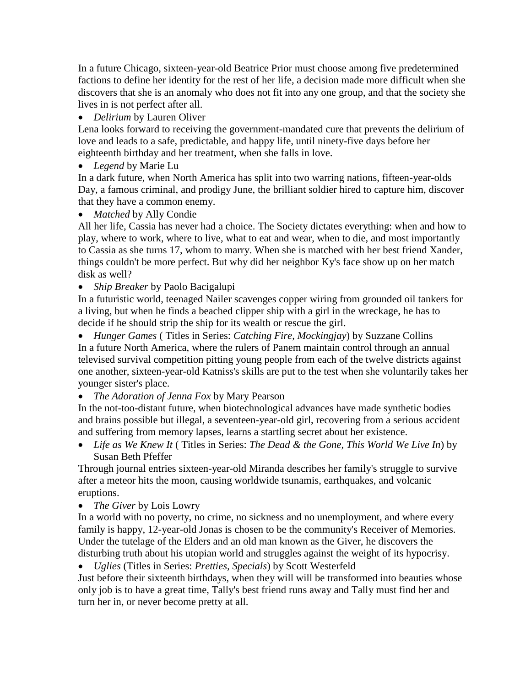In a future Chicago, sixteen-year-old Beatrice Prior must choose among five predetermined factions to define her identity for the rest of her life, a decision made more difficult when she discovers that she is an anomaly who does not fit into any one group, and that the society she lives in is not perfect after all.

*Delirium* by Lauren Oliver

Lena looks forward to receiving the government-mandated cure that prevents the delirium of love and leads to a safe, predictable, and happy life, until ninety-five days before her eighteenth birthday and her treatment, when she falls in love.

*Legend* by Marie Lu

In a dark future, when North America has split into two warring nations, fifteen-year-olds Day, a famous criminal, and prodigy June, the brilliant soldier hired to capture him, discover that they have a common enemy.

*Matched* by Ally Condie

All her life, Cassia has never had a choice. The Society dictates everything: when and how to play, where to work, where to live, what to eat and wear, when to die, and most importantly to Cassia as she turns 17, whom to marry. When she is matched with her best friend Xander, things couldn't be more perfect. But why did her neighbor Ky's face show up on her match disk as well?

*Ship Breaker* by Paolo Bacigalupi

In a futuristic world, teenaged Nailer scavenges copper wiring from grounded oil tankers for a living, but when he finds a beached clipper ship with a girl in the wreckage, he has to decide if he should strip the ship for its wealth or rescue the girl.

 *Hunger Games* ( Titles in Series: *Catching Fire, Mockingjay*) by Suzzane Collins In a future North America, where the rulers of Panem maintain control through an annual televised survival competition pitting young people from each of the twelve districts against one another, sixteen-year-old Katniss's skills are put to the test when she voluntarily takes her younger sister's place.

*The Adoration of Jenna Fox* by Mary Pearson

In the not-too-distant future, when biotechnological advances have made synthetic bodies and brains possible but illegal, a seventeen-year-old girl, recovering from a serious accident and suffering from memory lapses, learns a startling secret about her existence.

 *Life as We Knew It* ( Titles in Series: *The Dead & the Gone, This World We Live In*) by Susan Beth Pfeffer

Through journal entries sixteen-year-old Miranda describes her family's struggle to survive after a meteor hits the moon, causing worldwide tsunamis, earthquakes, and volcanic eruptions.

*The Giver* by Lois Lowry

In a world with no poverty, no crime, no sickness and no unemployment, and where every family is happy, 12-year-old Jonas is chosen to be the community's Receiver of Memories. Under the tutelage of the Elders and an old man known as the Giver, he discovers the disturbing truth about his utopian world and struggles against the weight of its hypocrisy.

*Uglies* (Titles in Series: *Pretties, Specials*) by Scott Westerfeld

Just before their sixteenth birthdays, when they will will be transformed into beauties whose only job is to have a great time, Tally's best friend runs away and Tally must find her and turn her in, or never become pretty at all.